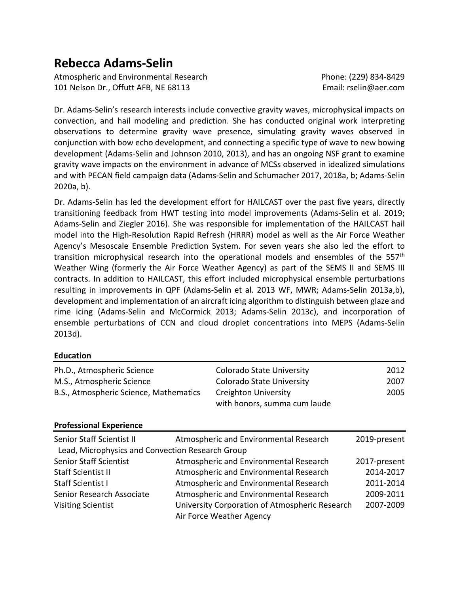# **Rebecca Adams-Selin**

Atmospheric and Environmental Research **Phone: (229) 834-8429** Phone: (229) 834-8429 101 Nelson Dr., Offutt AFB, NE 68113 Email: rselin@aer.com

Dr. Adams-Selin's research interests include convective gravity waves, microphysical impacts on convection, and hail modeling and prediction. She has conducted original work interpreting observations to determine gravity wave presence, simulating gravity waves observed in conjunction with bow echo development, and connecting a specific type of wave to new bowing development (Adams-Selin and Johnson 2010, 2013), and has an ongoing NSF grant to examine gravity wave impacts on the environment in advance of MCSs observed in idealized simulations and with PECAN field campaign data (Adams-Selin and Schumacher 2017, 2018a, b; Adams-Selin 2020a, b).

Dr. Adams-Selin has led the development effort for HAILCAST over the past five years, directly transitioning feedback from HWT testing into model improvements (Adams-Selin et al. 2019; Adams-Selin and Ziegler 2016). She was responsible for implementation of the HAILCAST hail model into the High-Resolution Rapid Refresh (HRRR) model as well as the Air Force Weather Agency's Mesoscale Ensemble Prediction System. For seven years she also led the effort to transition microphysical research into the operational models and ensembles of the 557<sup>th</sup> Weather Wing (formerly the Air Force Weather Agency) as part of the SEMS II and SEMS III contracts. In addition to HAILCAST, this effort included microphysical ensemble perturbations resulting in improvements in QPF (Adams-Selin et al. 2013 WF, MWR; Adams-Selin 2013a,b), development and implementation of an aircraft icing algorithm to distinguish between glaze and rime icing (Adams-Selin and McCormick 2013; Adams-Selin 2013c), and incorporation of ensemble perturbations of CCN and cloud droplet concentrations into MEPS (Adams-Selin 2013d).

#### **Education**

| Ph.D., Atmospheric Science<br>M.S., Atmospheric Science<br>B.S., Atmospheric Science, Mathematics |  | <b>Colorado State University</b><br><b>Colorado State University</b><br><b>Creighton University</b><br>with honors, summa cum laude | 2012<br>2007<br>2005 |
|---------------------------------------------------------------------------------------------------|--|-------------------------------------------------------------------------------------------------------------------------------------|----------------------|
| <b>Professional Experience</b>                                                                    |  |                                                                                                                                     |                      |
| Senior Staff Scientist II                                                                         |  | Atmospheric and Environmental Research                                                                                              | 2019-present         |
| Lead, Microphysics and Convection Research Group                                                  |  |                                                                                                                                     |                      |
| <b>Senior Staff Scientist</b>                                                                     |  | Atmospheric and Environmental Research                                                                                              | 2017-present         |
| <b>Staff Scientist II</b>                                                                         |  | Atmospheric and Environmental Research                                                                                              | 2014-2017            |
| <b>Staff Scientist I</b>                                                                          |  | Atmospheric and Environmental Research                                                                                              | 2011-2014            |
| Senior Research Associate                                                                         |  | Atmospheric and Environmental Research                                                                                              | 2009-2011            |
| <b>Visiting Scientist</b>                                                                         |  | University Corporation of Atmospheric Research<br>Air Force Weather Agency                                                          | 2007-2009            |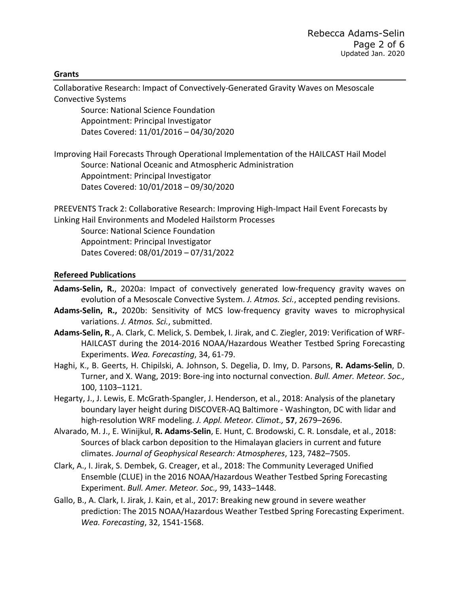#### **Grants**

Collaborative Research: Impact of Convectively-Generated Gravity Waves on Mesoscale Convective Systems

Source: National Science Foundation Appointment: Principal Investigator Dates Covered: 11/01/2016 – 04/30/2020

Improving Hail Forecasts Through Operational Implementation of the HAILCAST Hail Model Source: National Oceanic and Atmospheric Administration Appointment: Principal Investigator Dates Covered: 10/01/2018 – 09/30/2020

PREEVENTS Track 2: Collaborative Research: Improving High-Impact Hail Event Forecasts by Linking Hail Environments and Modeled Hailstorm Processes

Source: National Science Foundation Appointment: Principal Investigator Dates Covered: 08/01/2019 – 07/31/2022

#### **Refereed Publications**

- **Adams-Selin, R.**, 2020a: Impact of convectively generated low-frequency gravity waves on evolution of a Mesoscale Convective System. *J. Atmos. Sci.*, accepted pending revisions.
- **Adams-Selin, R.,** 2020b: Sensitivity of MCS low-frequency gravity waves to microphysical variations. *J. Atmos. Sci.*, submitted.
- **Adams-Selin, R**., A. Clark, C. Melick, S. Dembek, I. Jirak, and C. Ziegler, 2019: Verification of WRF-HAILCAST during the 2014-2016 NOAA/Hazardous Weather Testbed Spring Forecasting Experiments. *Wea. Forecasting*, 34, 61-79.
- Haghi, K., B. Geerts, H. Chipilski, A. Johnson, S. Degelia, D. Imy, D. Parsons, **R. Adams-Selin**, D. Turner, and X. Wang, 2019: Bore-ing into nocturnal convection. *Bull. Amer. Meteor. Soc.,* 100, 1103–1121.
- Hegarty, J., J. Lewis, E. McGrath-Spangler, J. Henderson, et al., 2018: Analysis of the planetary boundary layer height during DISCOVER-AQ Baltimore - Washington, DC with lidar and high-resolution WRF modeling. *J. Appl. Meteor. Climot.,* **57**, 2679–2696.
- Alvarado, M. J., E. Winijkul, **R. Adams-Selin**, E. Hunt, C. Brodowski, C. R. Lonsdale, et al., 2018: Sources of black carbon deposition to the Himalayan glaciers in current and future climates. *Journal of Geophysical Research: Atmospheres*, 123, 7482–7505.
- Clark, A., I. Jirak, S. Dembek, G. Creager, et al., 2018: The Community Leveraged Unified Ensemble (CLUE) in the 2016 NOAA/Hazardous Weather Testbed Spring Forecasting Experiment. *Bull. Amer. Meteor. Soc.,* 99, 1433–1448.
- Gallo, B., A. Clark, I. Jirak, J. Kain, et al., 2017: Breaking new ground in severe weather prediction: The 2015 NOAA/Hazardous Weather Testbed Spring Forecasting Experiment. *Wea. Forecasting*, 32, 1541-1568.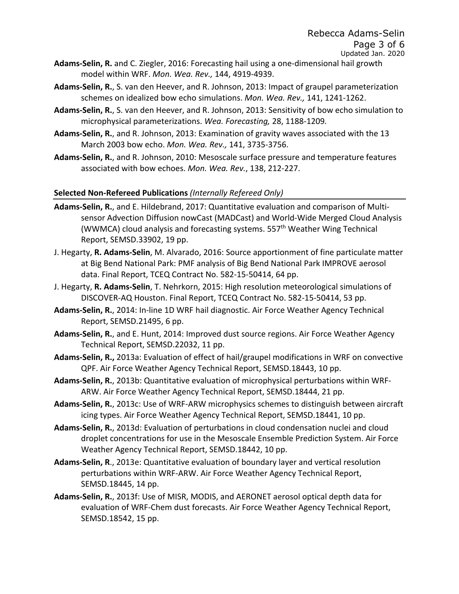- **Adams-Selin, R.** and C. Ziegler, 2016: Forecasting hail using a one-dimensional hail growth model within WRF. *Mon. Wea. Rev.,* 144, 4919-4939.
- **Adams-Selin, R.**, S. van den Heever, and R. Johnson, 2013: Impact of graupel parameterization schemes on idealized bow echo simulations. *Mon. Wea. Rev.,* 141, 1241-1262.
- **Adams-Selin, R.**, S. van den Heever, and R. Johnson, 2013: Sensitivity of bow echo simulation to microphysical parameterizations. *Wea. Forecasting,* 28, 1188-1209*.*
- **Adams-Selin, R.**, and R. Johnson, 2013: Examination of gravity waves associated with the 13 March 2003 bow echo. *Mon. Wea. Rev.,* 141, 3735-3756.
- **Adams-Selin, R.**, and R. Johnson, 2010: Mesoscale surface pressure and temperature features associated with bow echoes. *Mon. Wea. Rev.*, 138, 212-227.

### **Selected Non-Refereed Publications** *(Internally Refereed Only)*

- **Adams-Selin, R.**, and E. Hildebrand, 2017: Quantitative evaluation and comparison of Multisensor Advection Diffusion nowCast (MADCast) and World-Wide Merged Cloud Analysis (WWMCA) cloud analysis and forecasting systems. 557<sup>th</sup> Weather Wing Technical Report, SEMSD.33902, 19 pp.
- J. Hegarty, **R. Adams-Selin**, M. Alvarado, 2016: Source apportionment of fine particulate matter at Big Bend National Park: PMF analysis of Big Bend National Park IMPROVE aerosol data. Final Report, TCEQ Contract No. 582-15-50414, 64 pp.
- J. Hegarty, **R. Adams-Selin**, T. Nehrkorn, 2015: High resolution meteorological simulations of DISCOVER-AQ Houston. Final Report, TCEQ Contract No. 582-15-50414, 53 pp.
- **Adams-Selin, R.**, 2014: In-line 1D WRF hail diagnostic. Air Force Weather Agency Technical Report, SEMSD.21495, 6 pp.
- **Adams-Selin, R.**, and E. Hunt, 2014: Improved dust source regions. Air Force Weather Agency Technical Report, SEMSD.22032, 11 pp.
- **Adams-Selin, R.,** 2013a: Evaluation of effect of hail/graupel modifications in WRF on convective QPF. Air Force Weather Agency Technical Report, SEMSD.18443, 10 pp.
- **Adams-Selin, R.**, 2013b: Quantitative evaluation of microphysical perturbations within WRF-ARW. Air Force Weather Agency Technical Report, SEMSD.18444, 21 pp.
- **Adams-Selin, R.**, 2013c: Use of WRF-ARW microphysics schemes to distinguish between aircraft icing types. Air Force Weather Agency Technical Report, SEMSD.18441, 10 pp.
- **Adams-Selin, R.**, 2013d: Evaluation of perturbations in cloud condensation nuclei and cloud droplet concentrations for use in the Mesoscale Ensemble Prediction System. Air Force Weather Agency Technical Report, SEMSD.18442, 10 pp.
- **Adams-Selin, R**., 2013e: Quantitative evaluation of boundary layer and vertical resolution perturbations within WRF-ARW. Air Force Weather Agency Technical Report, SEMSD.18445, 14 pp.
- **Adams-Selin, R.**, 2013f: Use of MISR, MODIS, and AERONET aerosol optical depth data for evaluation of WRF-Chem dust forecasts. Air Force Weather Agency Technical Report, SEMSD.18542, 15 pp.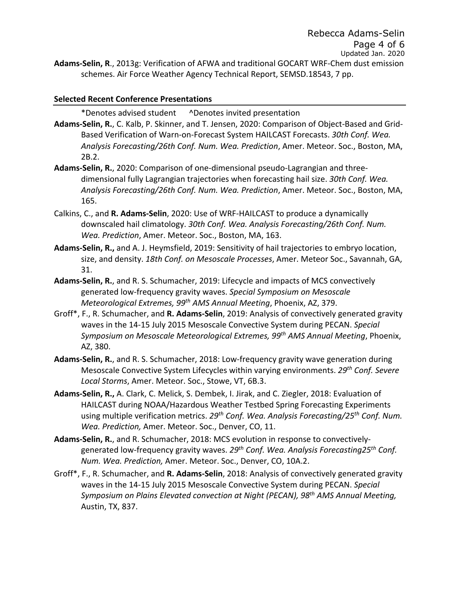## **Selected Recent Conference Presentations**

\*Denotes advised student ^Denotes invited presentation

**Adams-Selin, R.**, C. Kalb, P. Skinner, and T. Jensen, 2020: Comparison of Object-Based and Grid-Based Verification of Warn-on-Forecast System HAILCAST Forecasts. *30th Conf. Wea. Analysis Forecasting/26th Conf. Num. Wea. Prediction*, Amer. Meteor. Soc., Boston, MA, 2B.2.

- **Adams-Selin, R.**, 2020: Comparison of one-dimensional pseudo-Lagrangian and threedimensional fully Lagrangian trajectories when forecasting hail size. *30th Conf. Wea. Analysis Forecasting/26th Conf. Num. Wea. Prediction*, Amer. Meteor. Soc., Boston, MA, 165.
- Calkins, C., and **R. Adams-Selin**, 2020: Use of WRF-HAILCAST to produce a dynamically downscaled hail climatology. *30th Conf. Wea. Analysis Forecasting/26th Conf. Num. Wea. Prediction*, Amer. Meteor. Soc., Boston, MA, 163.
- **Adams-Selin, R.,** and A. J. Heymsfield, 2019: Sensitivity of hail trajectories to embryo location, size, and density. *18th Conf. on Mesoscale Processes*, Amer. Meteor Soc., Savannah, GA, 31.
- **Adams-Selin, R.**, and R. S. Schumacher, 2019: Lifecycle and impacts of MCS convectively generated low-frequency gravity waves. *Special Symposium on Mesoscale Meteorological Extremes, 99th AMS Annual Meeting*, Phoenix, AZ, 379.
- Groff\*, F., R. Schumacher, and **R. Adams-Selin**, 2019: Analysis of convectively generated gravity waves in the 14-15 July 2015 Mesoscale Convective System during PECAN. *Special Symposium on Mesoscale Meteorological Extremes, 99th AMS Annual Meeting*, Phoenix, AZ, 380.
- **Adams-Selin, R.**, and R. S. Schumacher, 2018: Low-frequency gravity wave generation during Mesoscale Convective System Lifecycles within varying environments. *29th Conf. Severe Local Storms*, Amer. Meteor. Soc., Stowe, VT, 6B.3.
- **Adams-Selin, R.,** A. Clark, C. Melick, S. Dembek, I. Jirak, and C. Ziegler, 2018: Evaluation of HAILCAST during NOAA/Hazardous Weather Testbed Spring Forecasting Experiments using multiple verification metrics. *29th Conf. Wea. Analysis Forecasting/25th Conf. Num. Wea. Prediction,* Amer. Meteor. Soc., Denver, CO, 11.
- **Adams-Selin, R.**, and R. Schumacher, 2018: MCS evolution in response to convectivelygenerated low-frequency gravity waves. *29th Conf. Wea. Analysis Forecasting25th Conf. Num. Wea. Prediction,* Amer. Meteor. Soc., Denver, CO, 10A.2.
- Groff\*, F., R. Schumacher, and **R. Adams-Selin**, 2018: Analysis of convectively generated gravity waves in the 14-15 July 2015 Mesoscale Convective System during PECAN. *Special Symposium on Plains Elevated convection at Night (PECAN), 98th AMS Annual Meeting,* Austin, TX, 837.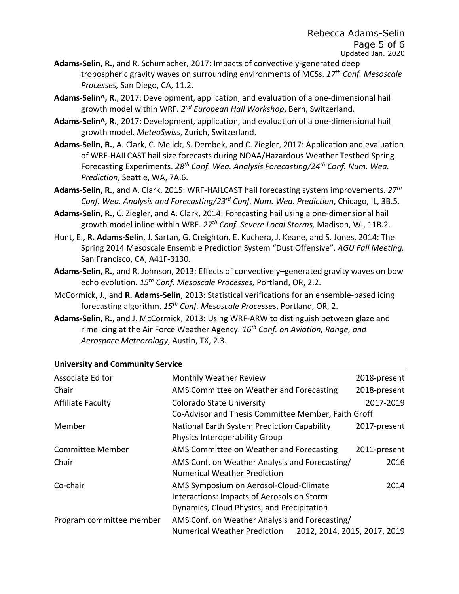- **Adams-Selin, R.**, and R. Schumacher, 2017: Impacts of convectively-generated deep tropospheric gravity waves on surrounding environments of MCSs. *17th Conf. Mesoscale Processes,* San Diego, CA, 11.2.
- **Adams-Selin^, R**., 2017: Development, application, and evaluation of a one-dimensional hail growth model within WRF. *2nd European Hail Workshop*, Bern, Switzerland.
- **Adams-Selin^, R.**, 2017: Development, application, and evaluation of a one-dimensional hail growth model. *MeteoSwiss*, Zurich, Switzerland.
- **Adams-Selin, R.**, A. Clark, C. Melick, S. Dembek, and C. Ziegler, 2017: Application and evaluation of WRF-HAILCAST hail size forecasts during NOAA/Hazardous Weather Testbed Spring Forecasting Experiments. *28th Conf. Wea. Analysis Forecasting/24th Conf. Num. Wea. Prediction*, Seattle, WA, 7A.6.
- **Adams-Selin, R.**, and A. Clark, 2015: WRF-HAILCAST hail forecasting system improvements. *27th Conf. Wea. Analysis and Forecasting/23rd Conf. Num. Wea. Prediction*, Chicago, IL, 3B.5.
- **Adams-Selin, R.**, C. Ziegler, and A. Clark, 2014: Forecasting hail using a one-dimensional hail growth model inline within WRF. *27th Conf. Severe Local Storms,* Madison, WI, 11B.2.
- Hunt, E., **R. Adams-Selin**, J. Sartan, G. Creighton, E. Kuchera, J. Keane, and S. Jones, 2014: The Spring 2014 Mesoscale Ensemble Prediction System "Dust Offensive". *AGU Fall Meeting,*  San Francisco, CA, A41F-3130.
- **Adams-Selin, R.**, and R. Johnson, 2013: Effects of convectively–generated gravity waves on bow echo evolution. *15th Conf. Mesoscale Processes,* Portland, OR, 2.2.
- McCormick, J., and **R. Adams-Selin**, 2013: Statistical verifications for an ensemble-based icing forecasting algorithm. *15th Conf. Mesoscale Processes*, Portland, OR, 2.
- **Adams-Selin, R.**, and J. McCormick, 2013: Using WRF-ARW to distinguish between glaze and rime icing at the Air Force Weather Agency. *16th Conf. on Aviation, Range, and Aerospace Meteorology*, Austin, TX, 2.3.

| <b>Associate Editor</b>  | <b>Monthly Weather Review</b>                                       | 2018-present |  |
|--------------------------|---------------------------------------------------------------------|--------------|--|
| Chair                    | AMS Committee on Weather and Forecasting                            | 2018-present |  |
| <b>Affiliate Faculty</b> | <b>Colorado State University</b>                                    | 2017-2019    |  |
|                          | Co-Advisor and Thesis Committee Member, Faith Groff                 |              |  |
| Member                   | National Earth System Prediction Capability                         | 2017-present |  |
|                          | Physics Interoperability Group                                      |              |  |
| <b>Committee Member</b>  | AMS Committee on Weather and Forecasting                            | 2011-present |  |
| Chair                    | AMS Conf. on Weather Analysis and Forecasting/                      | 2016         |  |
|                          | <b>Numerical Weather Prediction</b>                                 |              |  |
| Co-chair                 | AMS Symposium on Aerosol-Cloud-Climate                              | 2014         |  |
|                          | Interactions: Impacts of Aerosols on Storm                          |              |  |
|                          | Dynamics, Cloud Physics, and Precipitation                          |              |  |
| Program committee member | AMS Conf. on Weather Analysis and Forecasting/                      |              |  |
|                          | 2012, 2014, 2015, 2017, 2019<br><b>Numerical Weather Prediction</b> |              |  |

## **University and Community Service**